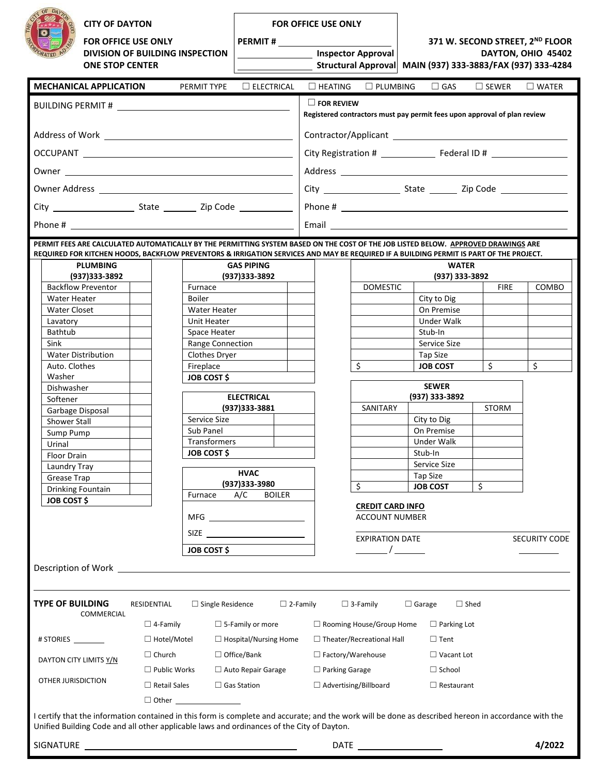| <b>CITY OF DAYTON</b><br><b>FOR OFFICE USE ONLY</b><br><b>DIVISION OF BUILDING INSPECTION</b><br><b>ONE STOP CENTER</b>                                                                                                                           |                                 | <b>FOR OFFICE USE ONLY</b>                         |                                                  | 371 W. SECOND STREET, 2ND FLOOR<br>DAYTON, OHIO 45402<br>Structural Approval MAIN (937) 333-3883/FAX (937) 333-4284 |                        |                                     |                 |                      |
|---------------------------------------------------------------------------------------------------------------------------------------------------------------------------------------------------------------------------------------------------|---------------------------------|----------------------------------------------------|--------------------------------------------------|---------------------------------------------------------------------------------------------------------------------|------------------------|-------------------------------------|-----------------|----------------------|
|                                                                                                                                                                                                                                                   |                                 | <b>Example 2016</b> Inspector Approval             |                                                  |                                                                                                                     |                        |                                     |                 |                      |
| <b>MECHANICAL APPLICATION</b>                                                                                                                                                                                                                     |                                 | PERMIT TYPE                                        | $\Box$ ELECTRICAL                                | $\Box$ HEATING                                                                                                      | $\Box$ PLUMBING        | $\Box$ GAS                          | $\square$ SEWER | $\square$ WATER      |
| BUILDING PERMIT # 2007 2007 2008 2010 2010 2011                                                                                                                                                                                                   |                                 |                                                    |                                                  | $\Box$ FOR REVIEW<br>Registered contractors must pay permit fees upon approval of plan review                       |                        |                                     |                 |                      |
|                                                                                                                                                                                                                                                   |                                 |                                                    |                                                  |                                                                                                                     |                        |                                     |                 |                      |
| OCCUPANT LATER CONTROL CONTROL CONTROL CONTROL CONTROL CONTROL CONTROL CONTROL CONTROL CONTROL CONTROL CONTROL CONTROL CONTROL CONTROL CONTROL CONTROL CONTROL CONTROL CONTROL CONTROL CONTROL CONTROL CONTROL CONTROL CONTROL                    |                                 |                                                    |                                                  |                                                                                                                     |                        |                                     |                 |                      |
|                                                                                                                                                                                                                                                   |                                 |                                                    |                                                  |                                                                                                                     |                        |                                     |                 |                      |
|                                                                                                                                                                                                                                                   |                                 |                                                    |                                                  |                                                                                                                     |                        |                                     |                 |                      |
|                                                                                                                                                                                                                                                   |                                 |                                                    |                                                  |                                                                                                                     |                        |                                     |                 |                      |
|                                                                                                                                                                                                                                                   |                                 |                                                    |                                                  |                                                                                                                     |                        |                                     |                 |                      |
| PERMIT FEES ARE CALCULATED AUTOMATICALLY BY THE PERMITTING SYSTEM BASED ON THE COST OF THE JOB LISTED BELOW. APPROVED DRAWINGS ARE                                                                                                                |                                 |                                                    |                                                  |                                                                                                                     |                        |                                     |                 |                      |
| REQUIRED FOR KITCHEN HOODS, BACKFLOW PREVENTORS & IRRIGATION SERVICES AND MAY BE REQUIRED IF A BUILDING PERMIT IS PART OF THE PROJECT.                                                                                                            |                                 |                                                    |                                                  |                                                                                                                     |                        |                                     |                 |                      |
| (937)333-3892                                                                                                                                                                                                                                     | <b>PLUMBING</b>                 |                                                    | <b>GAS PIPING</b><br>(937)333-3892               |                                                                                                                     |                        | <b>WATER</b><br>(937) 333-3892      |                 |                      |
| <b>Backflow Preventor</b>                                                                                                                                                                                                                         |                                 | Furnace                                            |                                                  |                                                                                                                     | <b>DOMESTIC</b>        |                                     | <b>FIRE</b>     | COMBO                |
| Water Heater                                                                                                                                                                                                                                      |                                 | <b>Boiler</b>                                      |                                                  |                                                                                                                     |                        | City to Dig                         |                 |                      |
| <b>Water Closet</b><br>Lavatory                                                                                                                                                                                                                   |                                 | <b>Water Heater</b><br>Unit Heater                 |                                                  |                                                                                                                     |                        | On Premise<br>Under Walk            |                 |                      |
| Bathtub                                                                                                                                                                                                                                           |                                 | Space Heater                                       |                                                  |                                                                                                                     |                        | Stub-In                             |                 |                      |
| Sink                                                                                                                                                                                                                                              |                                 | Range Connection                                   |                                                  |                                                                                                                     |                        | Service Size                        |                 |                      |
| <b>Water Distribution</b>                                                                                                                                                                                                                         |                                 | Clothes Dryer                                      |                                                  |                                                                                                                     |                        | Tap Size                            |                 |                      |
| Auto. Clothes<br>Washer                                                                                                                                                                                                                           |                                 | Fireplace<br><b>JOB COST \$</b>                    |                                                  |                                                                                                                     | \$                     | <b>JOB COST</b>                     | Ś.              | Ś                    |
| Dishwasher                                                                                                                                                                                                                                        |                                 |                                                    |                                                  |                                                                                                                     |                        | <b>SEWER</b>                        |                 |                      |
| Softener                                                                                                                                                                                                                                          |                                 | <b>ELECTRICAL</b>                                  |                                                  |                                                                                                                     |                        | (937) 333-3892                      |                 |                      |
| Garbage Disposal<br><b>Shower Stall</b>                                                                                                                                                                                                           |                                 | Service Size                                       | (937) 333-3881                                   |                                                                                                                     | SANITARY               | City to Dig                         | <b>STORM</b>    |                      |
| Sump Pump                                                                                                                                                                                                                                         |                                 | Sub Panel                                          |                                                  |                                                                                                                     |                        | On Premise                          |                 |                      |
| Urinal                                                                                                                                                                                                                                            |                                 | Transformers                                       |                                                  |                                                                                                                     |                        | Under Walk                          |                 |                      |
| Floor Drain                                                                                                                                                                                                                                       |                                 | <b>JOB COST \$</b>                                 |                                                  |                                                                                                                     |                        | Stub-In                             |                 |                      |
| Laundry Tray<br>Grease Trap                                                                                                                                                                                                                       |                                 |                                                    | <b>HVAC</b>                                      |                                                                                                                     |                        | Service Size<br><b>Tap Size</b>     |                 |                      |
| Drinking Fountain                                                                                                                                                                                                                                 |                                 | (937)333-3980                                      |                                                  |                                                                                                                     | \$                     | <b>JOB COST</b>                     | \$              |                      |
| <b>JOB COST \$</b>                                                                                                                                                                                                                                | Furnace<br>A/C<br><b>BOILER</b> |                                                    | <b>CREDIT CARD INFO</b><br><b>ACCOUNT NUMBER</b> |                                                                                                                     |                        |                                     |                 |                      |
| SIZE <u>_____________________</u><br><b>JOB COST \$</b>                                                                                                                                                                                           |                                 |                                                    |                                                  |                                                                                                                     | <b>EXPIRATION DATE</b> |                                     |                 | <b>SECURITY CODE</b> |
|                                                                                                                                                                                                                                                   |                                 |                                                    |                                                  | $\overline{\phantom{a}}$                                                                                            |                        |                                     |                 |                      |
| Description of Work _                                                                                                                                                                                                                             |                                 |                                                    | <u> 1980 - Jan Samuel Barbara, martin a</u>      |                                                                                                                     |                        |                                     |                 |                      |
| <b>TYPE OF BUILDING</b><br>COMMERCIAL                                                                                                                                                                                                             | RESIDENTIAL<br>$\Box$ 4-Family  | $\Box$ Single Residence                            | $\Box$ 2-Family<br>$\Box$ 5-Family or more       | $\Box$ Rooming House/Group Home                                                                                     | $\Box$ 3-Family        | $\Box$ Garage<br>$\Box$ Parking Lot | $\Box$ Shed     |                      |
| # STORIES ________                                                                                                                                                                                                                                | $\Box$ Hotel/Motel              |                                                    |                                                  |                                                                                                                     |                        | $\Box$ Tent                         |                 |                      |
| $\Box$ Church                                                                                                                                                                                                                                     |                                 | $\Box$ Hospital/Nursing Home<br>$\Box$ Office/Bank |                                                  | $\Box$ Theater/Recreational Hall<br>$\Box$ Factory/Warehouse<br>$\Box$ Vacant Lot                                   |                        |                                     |                 |                      |
| DAYTON CITY LIMITS Y/N                                                                                                                                                                                                                            |                                 |                                                    |                                                  |                                                                                                                     |                        | $\Box$ School                       |                 |                      |
| OTHER JURISDICTION                                                                                                                                                                                                                                | $\Box$ Public Works             |                                                    | $\Box$ Auto Repair Garage                        | $\Box$ Parking Garage                                                                                               |                        |                                     |                 |                      |
|                                                                                                                                                                                                                                                   | $\Box$ Retail Sales             |                                                    | $\Box$ Gas Station                               | $\Box$ Advertising/Billboard                                                                                        |                        | $\Box$ Restaurant                   |                 |                      |
| I certify that the information contained in this form is complete and accurate; and the work will be done as described hereon in accordance with the<br>Unified Building Code and all other applicable laws and ordinances of the City of Dayton. |                                 |                                                    |                                                  |                                                                                                                     |                        |                                     |                 |                      |
|                                                                                                                                                                                                                                                   |                                 |                                                    | 4/2022<br><b>DATE</b>                            |                                                                                                                     |                        |                                     |                 |                      |

| <b>SIGNATURE</b> |
|------------------|
|------------------|